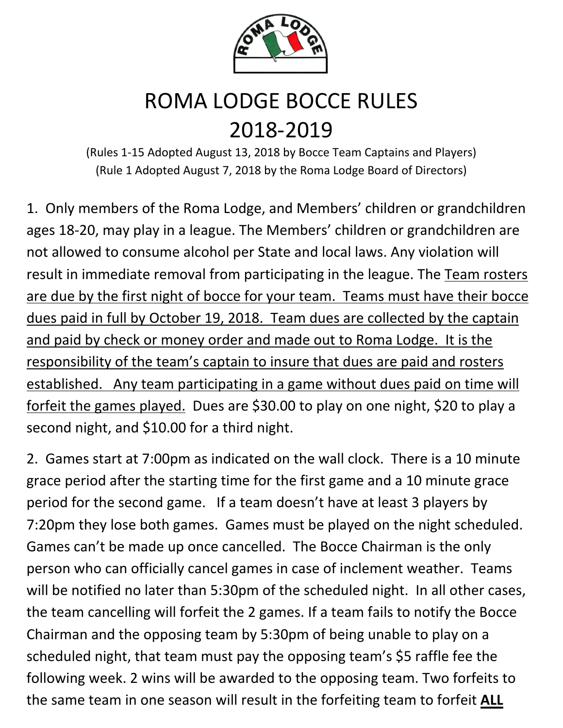

## ROMA LODGE BOCCE RULES 2018-2019

(Rules 1-15 Adopted August 13, 2018 by Bocce Team Captains and Players) (Rule 1 Adopted August 7, 2018 by the Roma Lodge Board of Directors)

1. Only members of the Roma Lodge, and Members' children or grandchildren ages 18-20, may play in a league. The Members' children or grandchildren are not allowed to consume alcohol per State and local laws. Any violation will result in immediate removal from participating in the league. The Team rosters are due by the first night of bocce for your team. Teams must have their bocce dues paid in full by October 19, 2018. Team dues are collected by the captain and paid by check or money order and made out to Roma Lodge. It is the responsibility of the team's captain to insure that dues are paid and rosters established. Any team participating in a game without dues paid on time will forfeit the games played. Dues are \$30.00 to play on one night, \$20 to play a second night, and \$10.00 for a third night.

2. Games start at 7:00pm as indicated on the wall clock. There is a 10 minute grace period after the starting time for the first game and a 10 minute grace period for the second game. If a team doesn't have at least 3 players by 7:20pm they lose both games. Games must be played on the night scheduled. Games can't be made up once cancelled. The Bocce Chairman is the only person who can officially cancel games in case of inclement weather. Teams will be notified no later than 5:30pm of the scheduled night. In all other cases, the team cancelling will forfeit the 2 games. If a team fails to notify the Bocce Chairman and the opposing team by 5:30pm of being unable to play on a scheduled night, that team must pay the opposing team's \$5 raffle fee the following week. 2 wins will be awarded to the opposing team. Two forfeits to the same team in one season will result in the forfeiting team to forfeit **ALL**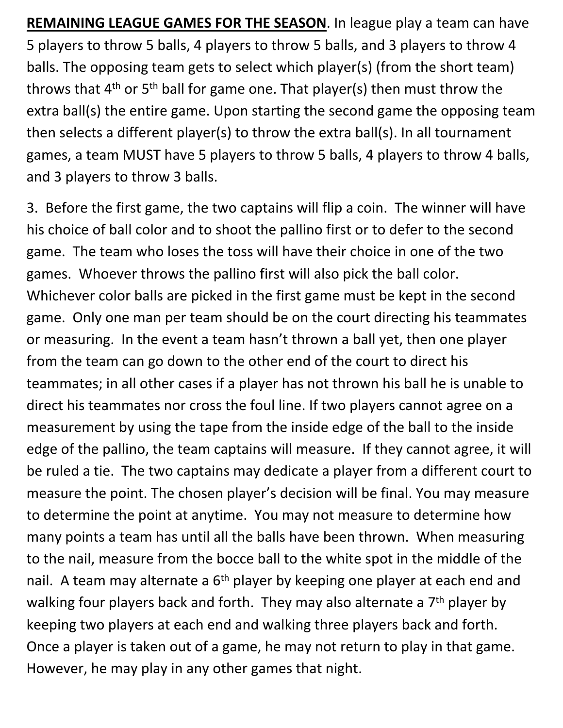**REMAINING LEAGUE GAMES FOR THE SEASON**. In league play a team can have 5 players to throw 5 balls, 4 players to throw 5 balls, and 3 players to throw 4 balls. The opposing team gets to select which player(s) (from the short team) throws that  $4<sup>th</sup>$  or 5<sup>th</sup> ball for game one. That player(s) then must throw the extra ball(s) the entire game. Upon starting the second game the opposing team then selects a different player(s) to throw the extra ball(s). In all tournament games, a team MUST have 5 players to throw 5 balls, 4 players to throw 4 balls, and 3 players to throw 3 balls.

3. Before the first game, the two captains will flip a coin. The winner will have his choice of ball color and to shoot the pallino first or to defer to the second game. The team who loses the toss will have their choice in one of the two games. Whoever throws the pallino first will also pick the ball color. Whichever color balls are picked in the first game must be kept in the second game. Only one man per team should be on the court directing his teammates or measuring. In the event a team hasn't thrown a ball yet, then one player from the team can go down to the other end of the court to direct his teammates; in all other cases if a player has not thrown his ball he is unable to direct his teammates nor cross the foul line. If two players cannot agree on a measurement by using the tape from the inside edge of the ball to the inside edge of the pallino, the team captains will measure. If they cannot agree, it will be ruled a tie. The two captains may dedicate a player from a different court to measure the point. The chosen player's decision will be final. You may measure to determine the point at anytime. You may not measure to determine how many points a team has until all the balls have been thrown. When measuring to the nail, measure from the bocce ball to the white spot in the middle of the nail. A team may alternate a  $6<sup>th</sup>$  player by keeping one player at each end and walking four players back and forth. They may also alternate a  $7<sup>th</sup>$  player by keeping two players at each end and walking three players back and forth. Once a player is taken out of a game, he may not return to play in that game. However, he may play in any other games that night.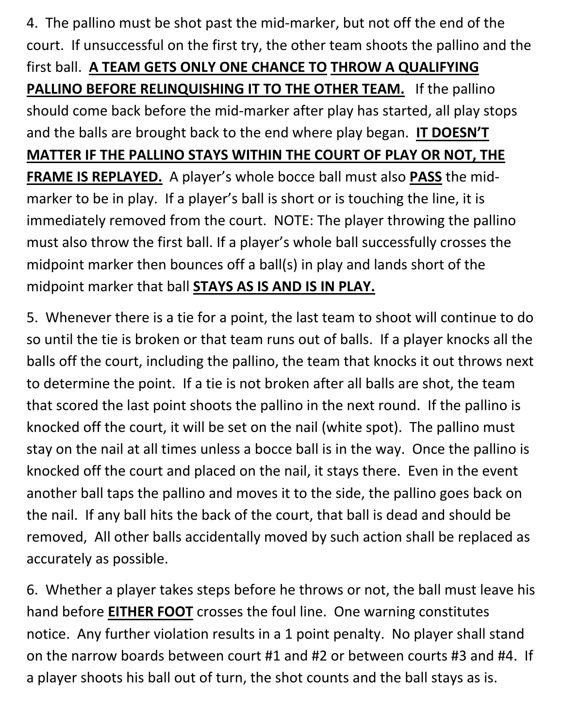4. The pallino must be shot past the mid-marker, but not off the end of the court. If unsuccessful on the first try, the other team shoots the pallino and the first ball. **A TEAM GETS ONLY ONE CHANCE TO THROW A QUALIFYING**  PALLINO BEFORE RELINQUISHING IT TO THE OTHER TEAM. If the pallino should come back before the mid-marker after play has started, all play stops and the balls are brought back to the end where play began. **IT DOESN'T MATTER IF THE PALLINO STAYS WITHIN THE COURT OF PLAY OR NOT, THE FRAME IS REPLAYED.** A player's whole bocce ball must also **PASS** the midmarker to be in play. If a player's ball is short or is touching the line, it is immediately removed from the court. NOTE: The player throwing the pallino must also throw the first ball. If a player's whole ball successfully crosses the midpoint marker then bounces off a ball(s) in play and lands short of the midpoint marker that ball **STAYS AS IS AND IS IN PLAY.**

5. Whenever there is a tie for a point, the last team to shoot will continue to do so until the tie is broken or that team runs out of balls. If a player knocks all the balls off the court, including the pallino, the team that knocks it out throws next to determine the point. If a tie is not broken after all balls are shot, the team that scored the last point shoots the pallino in the next round. If the pallino is knocked off the court, it will be set on the nail (white spot). The pallino must stay on the nail at all times unless a bocce ball is in the way. Once the pallino is knocked off the court and placed on the nail, it stays there. Even in the event another ball taps the pallino and moves it to the side, the pallino goes back on the nail. If any ball hits the back of the court, that ball is dead and should be removed, All other balls accidentally moved by such action shall be replaced as accurately as possible.

6. Whether a player takes steps before he throws or not, the ball must leave his hand before **EITHER FOOT** crosses the foul line. One warning constitutes notice. Any further violation results in a 1 point penalty. No player shall stand on the narrow boards between court #1 and #2 or between courts #3 and #4. If a player shoots his ball out of turn, the shot counts and the ball stays as is.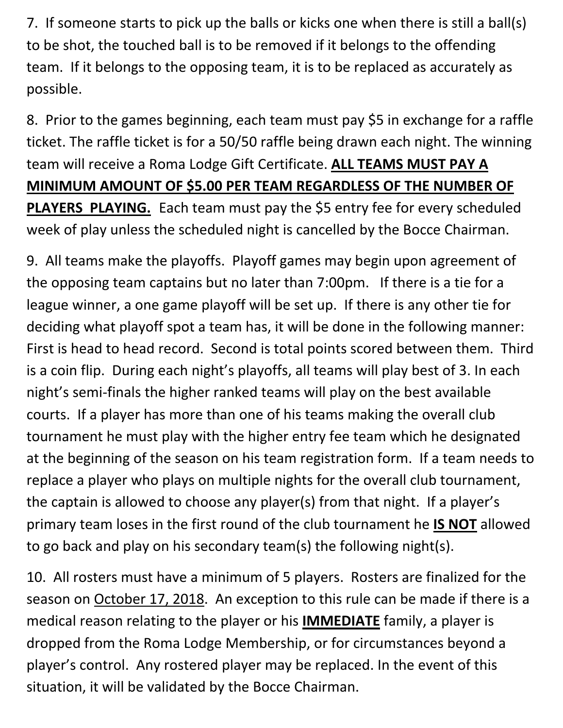7. If someone starts to pick up the balls or kicks one when there is still a ball(s) to be shot, the touched ball is to be removed if it belongs to the offending team. If it belongs to the opposing team, it is to be replaced as accurately as possible.

8. Prior to the games beginning, each team must pay \$5 in exchange for a raffle ticket. The raffle ticket is for a 50/50 raffle being drawn each night. The winning team will receive a Roma Lodge Gift Certificate. **ALL TEAMS MUST PAY A MINIMUM AMOUNT OF \$5.00 PER TEAM REGARDLESS OF THE NUMBER OF PLAYERS PLAYING.** Each team must pay the \$5 entry fee for every scheduled week of play unless the scheduled night is cancelled by the Bocce Chairman.

9. All teams make the playoffs. Playoff games may begin upon agreement of the opposing team captains but no later than 7:00pm. If there is a tie for a league winner, a one game playoff will be set up. If there is any other tie for deciding what playoff spot a team has, it will be done in the following manner: First is head to head record. Second is total points scored between them. Third is a coin flip. During each night's playoffs, all teams will play best of 3. In each night's semi-finals the higher ranked teams will play on the best available courts. If a player has more than one of his teams making the overall club tournament he must play with the higher entry fee team which he designated at the beginning of the season on his team registration form. If a team needs to replace a player who plays on multiple nights for the overall club tournament, the captain is allowed to choose any player(s) from that night. If a player's primary team loses in the first round of the club tournament he **IS NOT** allowed to go back and play on his secondary team(s) the following night(s).

10. All rosters must have a minimum of 5 players. Rosters are finalized for the season on October 17, 2018. An exception to this rule can be made if there is a medical reason relating to the player or his **IMMEDIATE** family, a player is dropped from the Roma Lodge Membership, or for circumstances beyond a player's control. Any rostered player may be replaced. In the event of this situation, it will be validated by the Bocce Chairman.